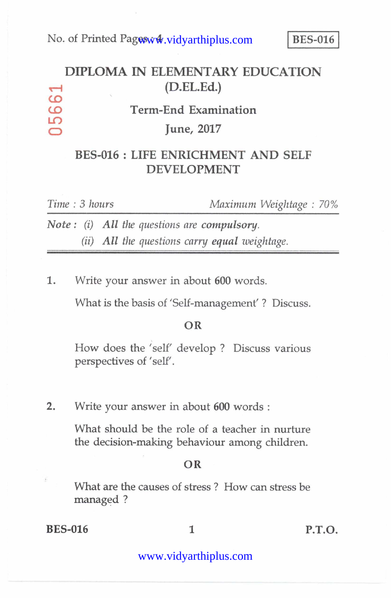### **DIPLOMA IN ELEMENTARY EDUCATION c—I (D.EL.Ed.) CO CO Term-End Examination L.0**  O **June, 2017**

## **BES-016 : LIFE ENRICHMENT AND SELF DEVELOPMENT**

| Time: 3 hours |  |  |  |                                               |  | Maximum Weightage: 70% |  |  |
|---------------|--|--|--|-----------------------------------------------|--|------------------------|--|--|
|               |  |  |  | Note: $(i)$ All the questions are compulsory. |  |                        |  |  |
|               |  |  |  | (ii) All the questions carry equal weightage. |  |                        |  |  |

1. Write your answer in about **600** words.

What is the basis of 'Self-management' ? Discuss.

### **OR**

How does the 'self' develop ? Discuss various perspectives of 'self'.

2. Write your answer in about **600** words :

What should be the role of a teacher in nurture the decision-making behaviour among children.

#### **OR**

What are the causes of stress ? How can stress be managed ?

### **BES-016** 1 **P.T.O.**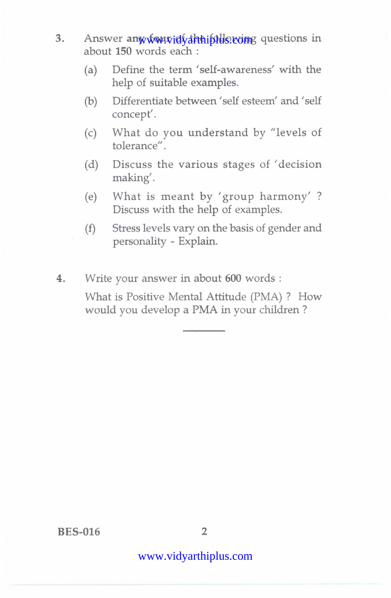- 3. Answer any four id the indiscrime questions in about **150** words each :
	- (a) Define the term 'self-awareness' with the help of suitable examples.
	- (b) Differentiate between 'self esteem' and 'self concept'.
	- (c) What do you understand by "levels of tolerance".
	- (d) Discuss the various stages of 'decision making'.
	- (e) What is meant by 'group harmony' ? Discuss with the help of examples.
	- (f) Stress levels vary on the basis of gender and personality - Explain.
- **4.** Write your answer in about **600** words :

What is Positive Mental Attitude (PMA) ? How would you develop a PMA in your children ?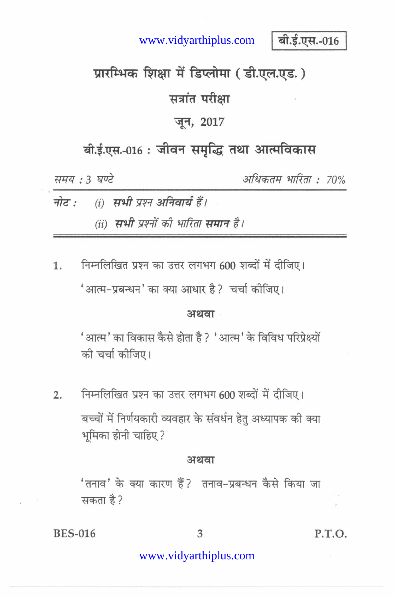www.vidyarthiplus.com

बी.ई.एस.-016

# प्रारम्भिक शिक्षा में डिप्लोमा (डी.एल.एड.)

# सत्रांत परीक्षा

## जून, 2017

# बी.ई.एस.-016: जीवन समृद्धि तथा आत्मविकास

समय: 3 घण्टे

अधिकतम भारिता : 70%

|  | नोट : (i) सभी प्रश्न अनिवार्य हैं।   |  |  |  |  |  |  |
|--|--------------------------------------|--|--|--|--|--|--|
|  | (ii) सभी प्रश्नों की भारिता समान है। |  |  |  |  |  |  |

निम्नलिखित प्रश्न का उत्तर लगभग 600 शब्दों में दीजिए। 1. 'आत्म-प्रबन्धन' का क्या आधार है ? चर्चा कोजिए।

#### अथवा

'आत्म' का विकास कैसे होता है ? 'आत्म' के विविध परिप्रेक्ष्यों की चर्चा कीजिए।

निम्नलिखित प्रश्न का उत्तर लगभग 600 शब्दों में दीजिए।  $2.$ बच्चों में निर्णयकारी व्यवहार के संवर्धन हेतु अध्यापक की क्या भूमिका होनी चाहिए?

#### अथवा

'तनाव' के क्या कारण हैं? तनाव-प्रबन्धन कैसे किया जा सकता है?

**BES-016** 

P.T.O.